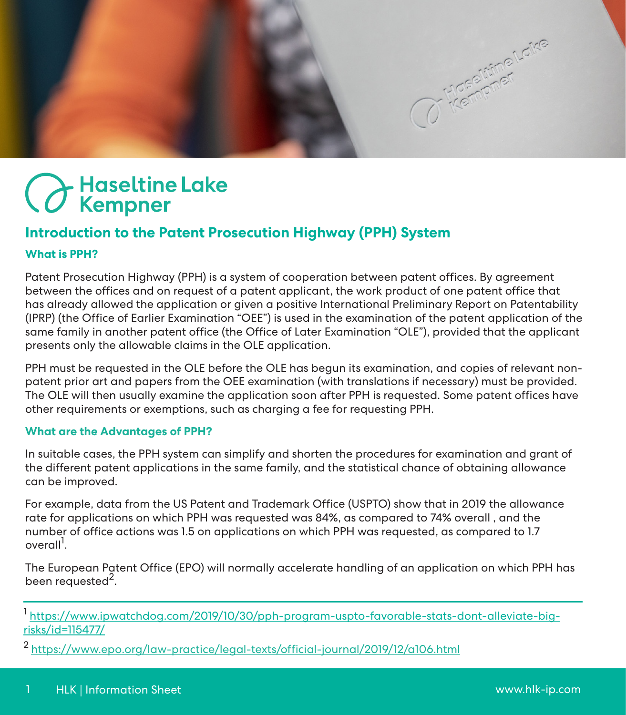C Kempmer.cike

# Haseltine Lake<br>CKempner

# **Introduction to the Patent Prosecution Highway (PPH) System**

# **What is PPH?**

Patent Prosecution Highway (PPH) is a system of cooperation between patent offices. By agreement between the offices and on request of a patent applicant, the work product of one patent office that has already allowed the application or given a positive International Preliminary Report on Patentability (IPRP) (the Office of Earlier Examination "OEE") is used in the examination of the patent application of the same family in another patent office (the Office of Later Examination "OLE"), provided that the applicant presents only the allowable claims in the OLE application.

PPH must be requested in the OLE before the OLE has begun its examination, and copies of relevant nonpatent prior art and papers from the OEE examination (with translations if necessary) must be provided. The OLE will then usually examine the application soon after PPH is requested. Some patent offices have other requirements or exemptions, such as charging a fee for requesting PPH.

# **What are the Advantages of PPH?**

In suitable cases, the PPH system can simplify and shorten the procedures for examination and grant of the different patent applications in the same family, and the statistical chance of obtaining allowance can be improved.

For example, data from the US Patent and Trademark Office (USPTO) show that in 2019 the allowance rate for applications on which PPH was requested was 84%, as compared to 74% overall , and the number of office actions was 1.5 on applications on which PPH was requested, as compared to 1.7 overall<sup>1</sup>.

The European Patent Office (EPO) will normally accelerate handling of an application on which PPH has been requested<sup>2</sup>.

<sup>1</sup> [https://www.ipwatchdog.com/2019/10/30/pph-program-uspto-favorable-stats-dont-alleviate-big](https://www.ipwatchdog.com/2019/10/30/pph-program-uspto-favorable-stats-dont-alleviate-big-risks/id=115477/)[risks/id=115477/](https://www.ipwatchdog.com/2019/10/30/pph-program-uspto-favorable-stats-dont-alleviate-big-risks/id=115477/)

2 <https://www.epo.org/law-practice/legal-texts/official-journal/2019/12/a106.html>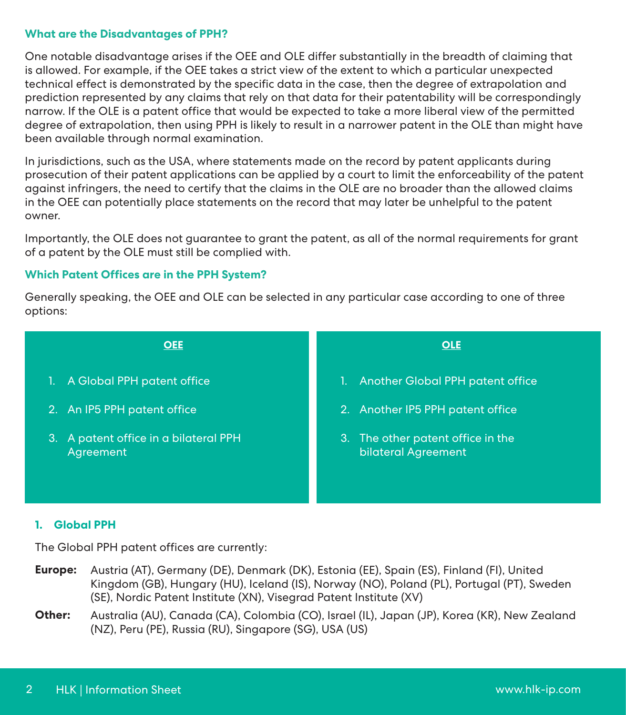## **What are the Disadvantages of PPH?**

One notable disadvantage arises if the OEE and OLE differ substantially in the breadth of claiming that is allowed. For example, if the OEE takes a strict view of the extent to which a particular unexpected technical effect is demonstrated by the specific data in the case, then the degree of extrapolation and prediction represented by any claims that rely on that data for their patentability will be correspondingly narrow. If the OLE is a patent office that would be expected to take a more liberal view of the permitted degree of extrapolation, then using PPH is likely to result in a narrower patent in the OLE than might have been available through normal examination.

In jurisdictions, such as the USA, where statements made on the record by patent applicants during prosecution of their patent applications can be applied by a court to limit the enforceability of the patent against infringers, the need to certify that the claims in the OLE are no broader than the allowed claims in the OEE can potentially place statements on the record that may later be unhelpful to the patent owner.

Importantly, the OLE does not guarantee to grant the patent, as all of the normal requirements for grant of a patent by the OLE must still be complied with.

# **Which Patent Offices are in the PPH System?**

Generally speaking, the OEE and OLE can be selected in any particular case according to one of three options:



#### **1. Global PPH**

The Global PPH patent offices are currently:

- **Europe:** Austria (AT), Germany (DE), Denmark (DK), Estonia (EE), Spain (ES), Finland (FI), United Kingdom (GB), Hungary (HU), Iceland (IS), Norway (NO), Poland (PL), Portugal (PT), Sweden (SE), Nordic Patent Institute (XN), Visegrad Patent Institute (XV)
- **Other:** Australia (AU), Canada (CA), Colombia (CO), Israel (IL), Japan (JP), Korea (KR), New Zealand (NZ), Peru (PE), Russia (RU), Singapore (SG), USA (US)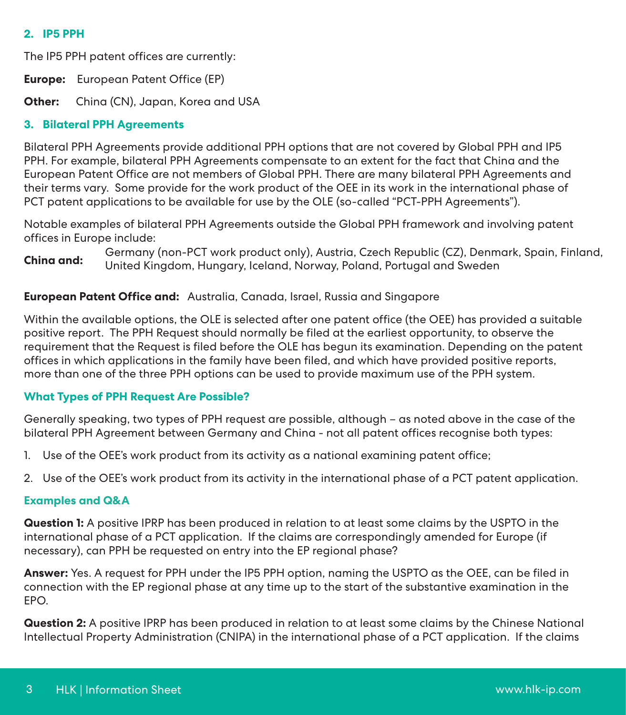# **2. IP5 PPH**

The IP5 PPH patent offices are currently:

**Europe:** European Patent Office (EP)

**Other:** China (CN), Japan, Korea and USA

## **3. Bilateral PPH Agreements**

Bilateral PPH Agreements provide additional PPH options that are not covered by Global PPH and IP5 PPH. For example, bilateral PPH Agreements compensate to an extent for the fact that China and the European Patent Office are not members of Global PPH. There are many bilateral PPH Agreements and their terms vary. Some provide for the work product of the OEE in its work in the international phase of PCT patent applications to be available for use by the OLE (so-called "PCT-PPH Agreements").

Notable examples of bilateral PPH Agreements outside the Global PPH framework and involving patent offices in Europe include:

**China and:** Germany (non-PCT work product only), Austria, Czech Republic (CZ), Denmark, Spain, Finland, United Kingdom, Hungary, Iceland, Norway, Poland, Portugal and Sweden

## **European Patent Office and:** Australia, Canada, Israel, Russia and Singapore

Within the available options, the OLE is selected after one patent office (the OEE) has provided a suitable positive report. The PPH Request should normally be filed at the earliest opportunity, to observe the requirement that the Request is filed before the OLE has begun its examination. Depending on the patent offices in which applications in the family have been filed, and which have provided positive reports, more than one of the three PPH options can be used to provide maximum use of the PPH system.

# **What Types of PPH Request Are Possible?**

Generally speaking, two types of PPH request are possible, although – as noted above in the case of the bilateral PPH Agreement between Germany and China - not all patent offices recognise both types:

- 1. Use of the OEE's work product from its activity as a national examining patent office;
- 2. Use of the OEE's work product from its activity in the international phase of a PCT patent application.

#### **Examples and Q&A**

**Question 1:** A positive IPRP has been produced in relation to at least some claims by the USPTO in the international phase of a PCT application. If the claims are correspondingly amended for Europe (if necessary), can PPH be requested on entry into the EP regional phase?

**Answer:** Yes. A request for PPH under the IP5 PPH option, naming the USPTO as the OEE, can be filed in connection with the EP regional phase at any time up to the start of the substantive examination in the EPO.

**Question 2:** A positive IPRP has been produced in relation to at least some claims by the Chinese National Intellectual Property Administration (CNIPA) in the international phase of a PCT application. If the claims